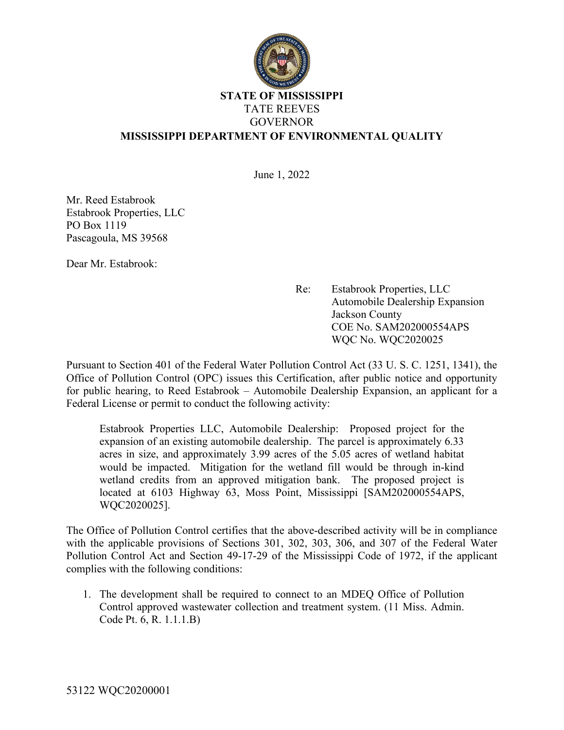

## **STATE OF MISSISSIPPI** TATE REEVES GOVERNOR **MISSISSIPPI DEPARTMENT OF ENVIRONMENTAL QUALITY**

June 1, 2022

Mr. Reed Estabrook Estabrook Properties, LLC PO Box 1119 Pascagoula, MS 39568

Dear Mr. Estabrook:

 Re: Estabrook Properties, LLC Automobile Dealership Expansion Jackson County COE No. SAM202000554APS WQC No. WQC2020025

Pursuant to Section 401 of the Federal Water Pollution Control Act (33 U. S. C. 1251, 1341), the Office of Pollution Control (OPC) issues this Certification, after public notice and opportunity for public hearing, to Reed Estabrook – Automobile Dealership Expansion, an applicant for a Federal License or permit to conduct the following activity:

Estabrook Properties LLC, Automobile Dealership: Proposed project for the expansion of an existing automobile dealership. The parcel is approximately 6.33 acres in size, and approximately 3.99 acres of the 5.05 acres of wetland habitat would be impacted. Mitigation for the wetland fill would be through in-kind wetland credits from an approved mitigation bank. The proposed project is located at 6103 Highway 63, Moss Point, Mississippi [SAM202000554APS, WQC2020025].

The Office of Pollution Control certifies that the above-described activity will be in compliance with the applicable provisions of Sections 301, 302, 303, 306, and 307 of the Federal Water Pollution Control Act and Section 49-17-29 of the Mississippi Code of 1972, if the applicant complies with the following conditions:

1. The development shall be required to connect to an MDEQ Office of Pollution Control approved wastewater collection and treatment system. (11 Miss. Admin. Code Pt. 6, R. 1.1.1.B)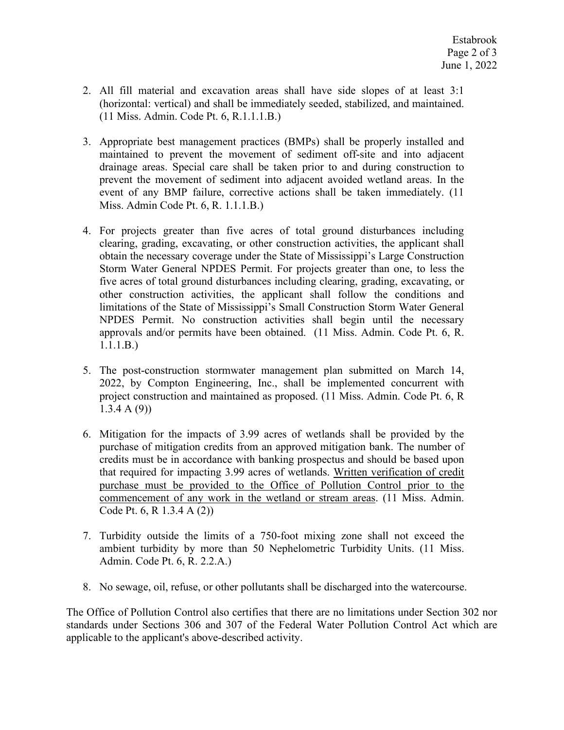- 2. All fill material and excavation areas shall have side slopes of at least 3:1 (horizontal: vertical) and shall be immediately seeded, stabilized, and maintained. (11 Miss. Admin. Code Pt. 6, R.1.1.1.B.)
- 3. Appropriate best management practices (BMPs) shall be properly installed and maintained to prevent the movement of sediment off-site and into adjacent drainage areas. Special care shall be taken prior to and during construction to prevent the movement of sediment into adjacent avoided wetland areas. In the event of any BMP failure, corrective actions shall be taken immediately. (11 Miss. Admin Code Pt. 6, R. 1.1.1.B.)
- 4. For projects greater than five acres of total ground disturbances including clearing, grading, excavating, or other construction activities, the applicant shall obtain the necessary coverage under the State of Mississippi's Large Construction Storm Water General NPDES Permit. For projects greater than one, to less the five acres of total ground disturbances including clearing, grading, excavating, or other construction activities, the applicant shall follow the conditions and limitations of the State of Mississippi's Small Construction Storm Water General NPDES Permit. No construction activities shall begin until the necessary approvals and/or permits have been obtained. (11 Miss. Admin. Code Pt. 6, R. 1.1.1.B.)
- 5. The post-construction stormwater management plan submitted on March 14, 2022, by Compton Engineering, Inc., shall be implemented concurrent with project construction and maintained as proposed. (11 Miss. Admin. Code Pt. 6, R 1.3.4 A (9))
- 6. Mitigation for the impacts of 3.99 acres of wetlands shall be provided by the purchase of mitigation credits from an approved mitigation bank. The number of credits must be in accordance with banking prospectus and should be based upon that required for impacting 3.99 acres of wetlands. Written verification of credit purchase must be provided to the Office of Pollution Control prior to the commencement of any work in the wetland or stream areas. (11 Miss. Admin. Code Pt. 6, R 1.3.4 A (2))
- 7. Turbidity outside the limits of a 750-foot mixing zone shall not exceed the ambient turbidity by more than 50 Nephelometric Turbidity Units. (11 Miss. Admin. Code Pt. 6, R. 2.2.A.)
- 8. No sewage, oil, refuse, or other pollutants shall be discharged into the watercourse.

The Office of Pollution Control also certifies that there are no limitations under Section 302 nor standards under Sections 306 and 307 of the Federal Water Pollution Control Act which are applicable to the applicant's above-described activity.